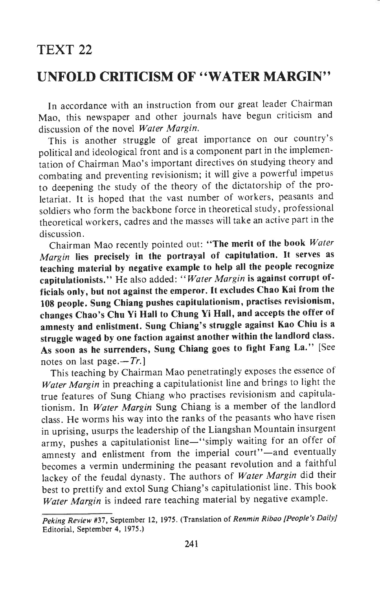## TEXT 22

## UNFOLD CRITICISM OF "WATER MARGIN''

In accordance with an instruction from our great leader Chairman Mao, this newspaper and other journals have begun criticism and discussion of the novel Water Margin.

This is another struggle of great importance on our country's political and ideological front and is a component part in the implementation of Chairman Mao's important directives on studying theory and combating and preventing revisionism; it will give a powerful impetus to deepening the study of the theory of the dictatorship of the proletariat. It is hoped that the vast number of workers, peasants and soldiers who form the backbone force in theoretical study, professional theoretical workers, cadres and the masses will take an active part in the discussion.

Chairman Mao recently pointed out: "The merit of the book Water Margin lies precisely in the portrayal of capitulation. It serves as teaching material by negative example to help all the people recognize capitulationists." He also added: "Water Margin is against corrupt officials only, but not against the emperor. It excludes chao Kai from the 108 people. Sung Chiang pushes capitulationism, practises revisionism, changes chao's chu Yi Hall to chung Yi Hall, and accepts the offer of amnesty and enlistment. sung chiang's struggle against Kao chiu is <sup>a</sup> struggle waged by one faction against another within the landlord class. As soon as he surrenders, Sung Chiang goes to fight Fang La.'' [See notes on last page. $-Tr$ .]

This teaching by chairman Mao penetratingly exposes the essence of Water Margin in preaching a capitulationist line and brings to light the true features of Sung Chiang who practises revisionism and capitulationism. ln Water Margin Sung Chiang is a member of the landlord class. He worms his way into the ranks of the peasants who have risen in uprising, usurps the leadership of the Liangshan Mountain insurgent army, pushes a capitulationist line-"simply waiting for an offer of amnesty and enlistment from the imperial court"-and eventually becomes a vermin undermining the peasant revolution and a faithful lackey of the feudal dynasty. The authors of Water Margin did their best to prettify and extol Sung Chiang's capitulationist line. This book Water Margin is indeed rare teaching material by negative example.

Peking Review #37, September 12, 1975. (Translation of Renmin Ribao [People's DailyJ Editorial, September 4, 1975.)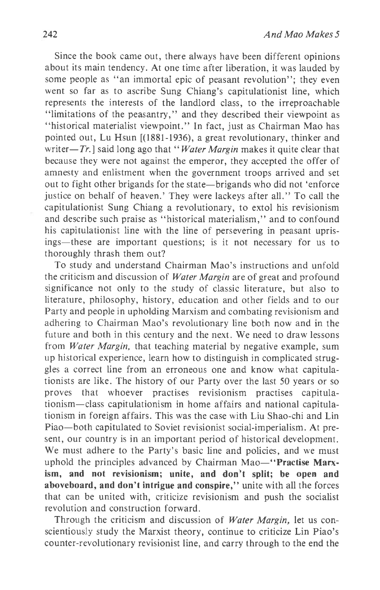Since the book came out, there always have been different opinions about its main tendency. At one time after Iiberation, it was lauded by some people as "an immortal epic of peasant revolution"; they even went so far as to ascribe Sung Chiang's capitulationist line, which represents the interests of the landlord class, to the irreproachable "limitations of the peasantry," and they described their viewpoint as "historical materialist viewpoint." In fact, just as Chairman Mao has pointed out, Lu Hsun [(1881-1936), a great revolutionary, thinker and writer- $Tr$ . I said long ago that "Water Margin makes it quite clear that because they were not against the emperor, they accepted the offer of amnesty and enlistment when the government troops arrived and set out to fight other brigands for the state-brigands who did not 'enforce justice on behalf of heaven.'They were lackeys after all," To call the capitulationist Sung Chiang a revolutionary, to extol his revisionism and describe such praise as "historical materialism," and to confound his capitulationist line with the line of persevering in peasant uprisings-these are important questions; is it not necessary for us to thoroughly thrash them out?

To study and understand Chairman Mao's instructions and unfold the criticism and discussion of *Water Margin* are of great and profound significance not only to the study of classic literature, but also to literature, philosophy, history, education and other fields and to our Party and people in upholding Marxism and combating revisionism and adhering to Chairman Mao's revolutionary line both now and in the future and both in this century and the next. We need to draw lessons from Water Margin, that teaching material by negative example, sum up historical experience, learn how to distinguish in complicated struggles a correct line from an erroneous one and know what capitulationists are like. The history of our Party over the last 50 years or so proves that whoever practises revisionism practises capitulationism-class capitulationism in home affairs and national capitulationism in foreign affairs. This was the case with Liu Shao-chi and Lin Piao-both capitulated to Soviet revisionist social-imperialism. At present, our country is in an important period of historical development. We must adhere to the Party's basic line and policies, and we must uphold the principles advanced by Chairman Mao-"Practise Marxism, and not revisionism; unite, and don't split; be open and aboveboard, and don't intrigue and conspire," unite with all the forces that can be united with, criticize revisionism and push the socialist revolution and construction forward.

Through the criticism and discussion of *Water Margin*, let us conscientiously study the Marxist theory, continue to criticize Lin Piao's counter-revolutionary revisionist line, and carry through to the end the